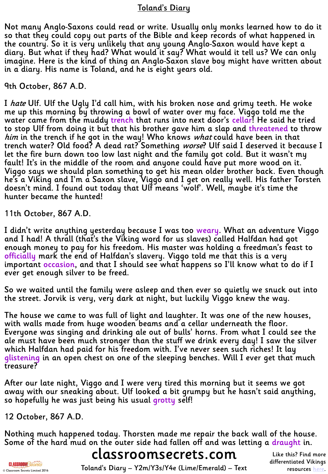## <u>Toland's Diary</u>

Not many Anglo-Saxons could read or write. Usually only monks learned how to do it<br>so that they could copy out parts of the Bible and keep records of what happened in<br>the country. So it is very unlikely that any young Angl diary. But what if they had? What would it say? What would it tell us? We can only imagine. Here is the kind of thing an Anglo-Saxon slave boy might have written about<br>in a diary. His name is Toland, and he is eight years old.

#### 9th October, 867 A.D.

I *hate* Ulf. Ulf the Ugly I'd call him, with his broken nose and grimy teeth. He woke<br>me up this morning by throwing a bowl of water over my face. Viggo told me the water came from the muddy trench that runs into next door's cellar! He said he tried to stop Ulf from doing it but that his brother gave him a slap and threatened to throw him in the trench if he got in the way! Who knows what could have been in that trench water? Old food? A dead rat? Something *worse*? Ulf said I deserved it because I let the fire burn down too low last night and the family got cold. But it wasn't my fault! It's in the middle of the room and anyone could have put more wood on it.  $\overline{\phantom{a}}$  Viggo says we should plan something to get his mean older brother back. Even though he's a Viking and I'm a Saxon slave, Viggo and I get on really well. His father Torsten doesn't mind. I found out today that Ulf means 'wolf'. Well, maybe it's time the hunter became the hunted!

11th October, 867 A.D.

I didn't write anything yesterday because I was too <mark>weary</mark>. What an adventure Viggo<br>and I had! A thrall (that's the Viking word for us slaves) called Halfdan had got<br>enough money to pay for his freedom. His master was hol officially mark the end of Halfdan's slavery. Viggo told me that this is a very important occasion, and that I should see what happens so I'll know what to do if I<br>ever get enough silver to be freed.

So we waited until the family were asleep and then ever so quietly we snuck out into the street. Jorvik is very, very dark at night, but luckily Viggo knew the way.

The house we came to was full of light and laughter. It was one of the new houses, with walls made from huge wooden beams and a cellar underneath the floor. Everyone was singing and drinking ale out of bulls' horns. From what I could see the ale must have been much stronger than the stuff we drink every day! I saw the silver which Halfdan had paid for his freedom with. I've never seen such riches! It lay<br><mark>glistening</mark> in an open chest on one of the sleeping benches. Will I ever get that much<br>treasure?

After our late night, Viggo and I were very tired this morning but it seems we got<br>away with our sneaking about. Ulf looked a bit grumpy but he hasn't said anything, so hopefully he was just being his usual grotty self!

## 12 October, 867 A.D.

Nothing much happened today. Thorsten made me repair the back wall of the house. Some of the hard mud on the outer side had fallen off and was letting a draught in.

## classroomsecrets.com

**CLASSROOM**Secrets © Classroom Secrets Limited 2016

Toland's Diary – Y2m/Y3s/Y4e (Lime/Emerald) – Text

Like this? Find more differentiated Vikings resources [here](http://www.classroomsecrets.com/tag/Vikings).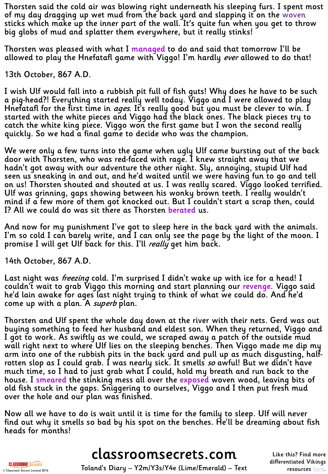Thorsten said the cold air was blowing right underneath his sleeping furs. I spent most of my day dragging up wet mud from the back yard and slapping it on the woven sticks which make up the inner part of the wall. It's quite fun when you get to throw big globs of mud and splatter them everywhere, but it really stinks!

Thorsten was pleased with what I managed to do and said that tomorrow I'll be allowed to play the Hnefatafl game with Viggo! I'm hardly *ever* allowed to do that!

13th October, 867 A.D.

I wish Ulf would fall into a rubbish pit full of fish guts! Why does he have to be such a pig-head?! Everything started really well today. Viggo and I were allowed to play<br>Hnefatafl for the first time in *ages*. It's really good but you must be clever to win. I<br>started with the white pieces and Viggo had the quickly. So we had a final game to decide who was the champion.

We were only a few turns into the game when ugly Ulf came bursting out of the back<br>door with Thorsten, who was red-faced with rage. I knew straight away that we hadn't got away with our adventure the other night. Sly, annoying, stupid Ulf had seen us sneaking in and out, and he'd waited until we were having fun to go and tell on us! Thorsten shouted and shouted at us. I was really scared. Viggo looked terrified. Ulf was grinning, gaps showing between his wonky brown teeth. I really wouldn't mind if a few more of them got knocked out. But I couldn't start a scrap then, could I? All we could do was sit there as Thorsten berated us.

And now for my punishment I've got to sleep here in the back yard with the animals. I'm so cold I can barely write, and I can only see the page by the light of the moon. I promise I will get Ulf back for this. I'll *really* get him back.

14th October, 867 A.D.

Last night was *freezing* cold. I'm surprised I didn't wake up with ice for a head! I<br>couldn't wait to grab Viggo this morning and start planning our <u>revenge</u>. Viggo said he'd lain awake for ages last night trying to think of what we could do. And he'd come up with a plan. A *superb* plan.

Thorsten and Ulf spent the whole day down at the river with their nets. Gerd was out buying something to feed her husband and eldest son. When they returned, Viggo and I got to work. As swiftly as we could, we scraped away a patch of the outside mud wall right next to where Ulf lies on the sleeping benches. Then Viggo made me dip my<br>arm into one of the rubbish pits in the back yard and pull up as much disgusting, halfrotten slop as I could grab. I was nearly sick. It smells so awful! But we didn't have much time, so I had to just grab what I could, hold my breath and run back to the house. I <mark>smeared</mark> the stinking mess all over the <mark>exposed</mark> woven wood, leaving bits of<br>old fish stuck in the gaps. Sniggering to ourselves, Viggo and I then put fresh mud<br>over the hole and our plan was finished.

Now all we have to do is wait until it is time for the family to sleep. Ulf will never find out why it smells so bad by his spot on the benches. He'll be dreaming about fish heads for months!

classroomsecrets.com

Like this? Find more differentiated Vikings resources <u>[here](http://www.classroomsecrets.com/tag/Vikings)</u>.

**CLASSROOM**Secrets © Classroom Secrets Limited 2016

Toland's Diary – Y2m/Y3s/Y4e (Lime/Emerald) – Text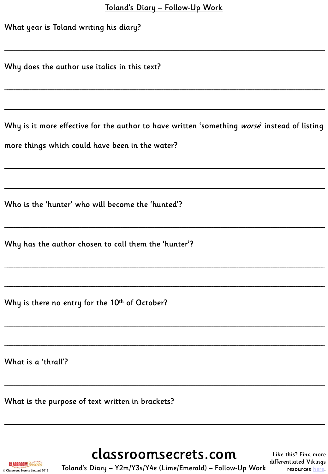| Toland's Diary - Follow-Up Work |
|---------------------------------|
|---------------------------------|

| $\frac{10 \times 100}{100 \times 100}$ $\frac{100 \times 100}{100 \times 100}$<br>What year is Toland writing his diary? |  |  |  |  |
|--------------------------------------------------------------------------------------------------------------------------|--|--|--|--|
| Why does the author use italics in this text?                                                                            |  |  |  |  |
|                                                                                                                          |  |  |  |  |
| Why is it more effective for the author to have written 'something worse' instead of listing                             |  |  |  |  |
| more things which could have been in the water?                                                                          |  |  |  |  |
|                                                                                                                          |  |  |  |  |
| Who is the 'hunter' who will become the 'hunted'?                                                                        |  |  |  |  |
| Why has the author chosen to call them the 'hunter'?                                                                     |  |  |  |  |
|                                                                                                                          |  |  |  |  |
| Why is there no entry for the 10th of October?                                                                           |  |  |  |  |
|                                                                                                                          |  |  |  |  |
| What is a 'thrall'?                                                                                                      |  |  |  |  |
| What is the purpose of text written in brackets?                                                                         |  |  |  |  |
|                                                                                                                          |  |  |  |  |

**CLASSROOM**Secrets © Classroom Secrets Limited 2016

classroomsecrets.com Toland's Diary - Y2m/Y3s/Y4e (Lime/Emerald) - Follow-Up Work

Like this? Find more differentiated Vikings resources here.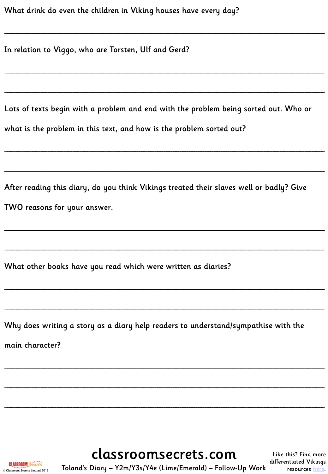In relation to Viggo, who are Torsten, Ulf and Gerd?

Lots of texts begin with a problem and end with the problem being sorted out. Who or what is the problem in this text, and how is the problem sorted out?

After reading this diary, do you think Vikings treated their slaves well or badly? Give TWO reasons for your answer.

What other books have you read which were written as diaries?

Why does writing a story as a diary help readers to understand/sympathise with the

main character?

classroomsecrets.com Toland's Diary - Y2m/Y3s/Y4e (Lime/Emerald) - Follow-Up Work

Like this? Find more differentiated Vikings resources here.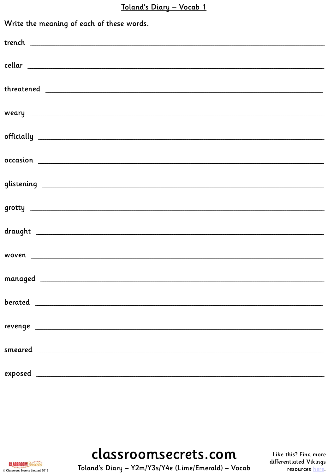#### Toland's Diary - Vocab 1

| Write the meaning of each of these words. |  |  |
|-------------------------------------------|--|--|
|                                           |  |  |
|                                           |  |  |
|                                           |  |  |
|                                           |  |  |
|                                           |  |  |
|                                           |  |  |
|                                           |  |  |
|                                           |  |  |
|                                           |  |  |
|                                           |  |  |
|                                           |  |  |
|                                           |  |  |
|                                           |  |  |
|                                           |  |  |
|                                           |  |  |

classroomsecrets.com

**CLASSROOM**Secrets © Classroom Secrets Limited 2016

Toland's Diary - Y2m/Y3s/Y4e (Lime/Emerald) - Vocab

Like this? Find more differentiated Vikings resources here.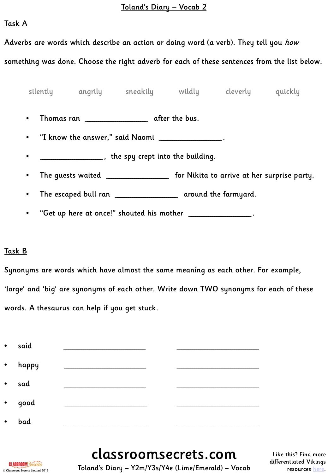#### Toland's Diary – Vocab 2

#### Task A

Adverbs are words which describe an action or doing word (a verb). They tell you how something was done. Choose the right adverb for each of these sentences from the list below.

• Thomas ran \_\_\_\_\_\_\_\_\_\_\_\_\_\_\_\_\_\_\_\_\_\_\_\_\_\_\_\_\_ after the bus. • "I know the answer," said Naomi \_\_\_\_\_\_\_\_\_\_\_\_\_\_\_\_\_\_\_\_\_\_\_\_\_\_\_\_\_ . • \_\_\_\_\_\_\_\_\_\_\_\_\_\_\_\_\_\_\_\_\_\_\_\_\_\_\_\_\_, the spy crept into the building. • The guests waited \_\_\_\_\_\_\_\_\_\_\_\_\_\_\_\_\_\_\_\_\_\_\_\_\_\_\_\_\_ for Nikita to arrive at her surprise party. silently angrily sneakily wildly cleverly quickly

- The escaped bull ran \_\_\_\_\_\_\_\_\_\_\_\_\_\_\_\_\_\_\_\_\_\_\_ around the farmyard.
- "Get up here at once!" shouted his mother \_\_\_\_\_\_\_\_\_\_\_\_\_\_\_\_\_\_\_\_\_\_\_\_\_\_\_\_\_.

## Task B

Synonyms are words which have almost the same meaning as each other. For example, 'large' and 'big' are synonyms of each other. Write down TWO synonyms for each of these words. A thesaurus can help if you get stuck.

| $\bullet$ | said  |  |
|-----------|-------|--|
| $\bullet$ | happy |  |
| $\bullet$ | sad   |  |
| $\bullet$ | good  |  |
| $\bullet$ | bad   |  |

classroomsecrets.com



Toland's Diary – Y2m/Y3s/Y4e (Lime/Emerald) – Vocab

Like this? Find more differentiated Vikings resources [here](http://www.classroomsecrets.com/tag/Vikings).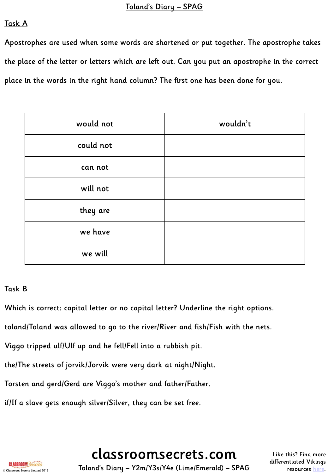## Task A

Apostrophes are used when some words are shortened or put together. The apostrophe takes the place of the letter or letters which are left out. Can you put an apostrophe in the correct place in the words in the right hand column? The first one has been done for you.

| would not | wouldn't |
|-----------|----------|
| could not |          |
| can not   |          |
| will not  |          |
| they are  |          |
| we have   |          |
| we will   |          |

## Task B

Which is correct: capital letter or no capital letter? Underline the right options.

toland/Toland was allowed to go to the river/River and fish/Fish with the nets.

Viggo tripped ulf/Ulf up and he fell/Fell into a rubbish pit.

the/The streets of jorvik/Jorvik were very dark at night/Night.

Torsten and gerd/Gerd are Viggo's mother and father/Father.

if/If a slave gets enough silver/Silver, they can be set free.

classroomsecrets.com

Like this? Find more differentiated Vikings resources [here](http://www.classroomsecrets.com/tag/Vikings).



Toland's Diary – Y2m/Y3s/Y4e (Lime/Emerald) – SPAG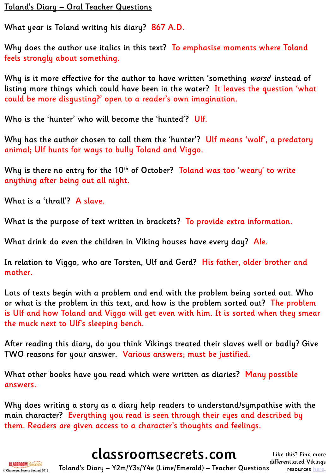## Toland's Diary – Oral Teacher Questions

What year is Toland writing his diary? 867 A.D.

Why does the author use italics in this text? To emphasise moments where Toland feels strongly about something.

Why is it more effective for the author to have written 'something worse' instead of listing more things which could have been in the water? It leaves the question 'what could be more disgusting?' open to a reader's own imagination.

Who is the 'hunter' who will become the 'hunted'? Ulf.

Why has the author chosen to call them the 'hunter'? Ulf means 'wolf', a predatory animal; Ulf hunts for ways to bully Toland and Viggo.

Why is there no entry for the 10<sup>th</sup> of October? Toland was too 'weary' to write anything after being out all night.

What is a 'thrall'? A slave.

What is the purpose of text written in brackets? To provide extra information.

What drink do even the children in Viking houses have every day? Ale.

In relation to Viggo, who are Torsten, Ulf and Gerd? His father, older brother and mother.

Lots of texts begin with a problem and end with the problem being sorted out. Who or what is the problem in this text, and how is the problem sorted out? The problem is Ulf and how Toland and Viggo will get even with him. It is sorted when they smear the muck next to Ulf's sleeping bench.

After reading this diary, do you think Vikings treated their slaves well or badly? Give TWO reasons for your answer. Various answers; must be justified.

What other books have you read which were written as diaries? Many possible answers.

Why does writing a story as a diary help readers to understand/sympathise with the main character? Everything you read is seen through their eyes and described by them. Readers are given access to a character's thoughts and feelings.

# classroomsecrets.com



Toland's Diary – Y2m/Y3s/Y4e (Lime/Emerald) – Teacher Questions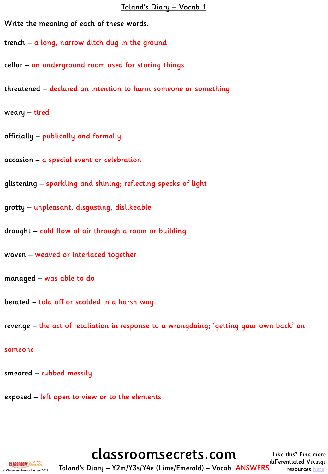#### Toland's Diary – Vocab 1

Write the meaning of each of these words.

trench – a long, narrow ditch dug in the ground

cellar – an underground room used for storing things

threatened – declared an intention to harm someone or something

weary – tired

officially – publically and formally

occasion – a special event or celebration

glistening – sparkling and shining; reflecting specks of light

grotty – unpleasant, disgusting, dislikeable

draught – cold flow of air through a room or building

woven – weaved or interlaced together

managed – was able to do

berated – told off or scolded in a harsh way

revenge – the act of retaliation in response to a wrongdoing; 'getting your own back' on

#### someone

smeared – rubbed messily

exposed – left open to view or to the elements

classroomsecrets.com



Toland's Diary – Y2m/Y3s/Y4e (Lime/Emerald) – Vocab ANSWERS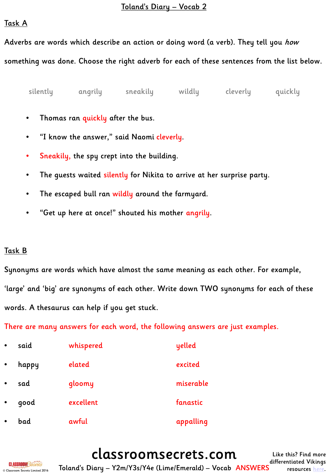#### Toland's Diary – Vocab 2

#### Task A

Adverbs are words which describe an action or doing word (a verb). They tell you *how* 

something was done. Choose the right adverb for each of these sentences from the list below.

silently angrily sneakily wildly cleverly quickly

- Thomas ran quickly after the bus.
- "I know the answer," said Naomi cleverly.
- Sneakily, the spy crept into the building.
- The guests waited silently for Nikita to arrive at her surprise party.
- The escaped bull ran wildly around the farmyard.
- "Get up here at once!" shouted his mother angrily.

## Task B

Synonyms are words which have almost the same meaning as each other. For example, 'large' and 'big' are synonyms of each other. Write down TWO synonyms for each of these words. A thesaurus can help if you get stuck.

There are many answers for each word, the following answers are just examples.

| $\bullet$ | said  | whispered | yelled    |
|-----------|-------|-----------|-----------|
| $\bullet$ | happy | elated    | excited   |
| $\bullet$ | sad   | gloomy    | miserable |
| $\bullet$ | qood  | excellent | fanastic  |
|           | bad   | awful     | appalling |



classroomsecrets.com Toland's Diary – Y2m/Y3s/Y4e (Lime/Emerald) – Vocab ANSWERS